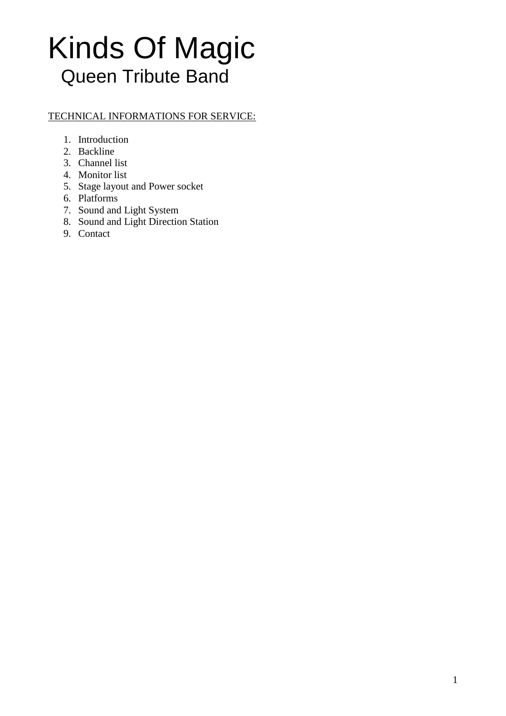## TECHNICAL INFORMATIONS FOR SERVICE:

- 1. Introduction
- 2. Backline
- 3. Channel list
- 4. Monitor list
- 5. Stage layout and Power socket
- 6. Platforms
- 7. Sound and Light System
- 8. Sound and Light Direction Station
- 9. Contact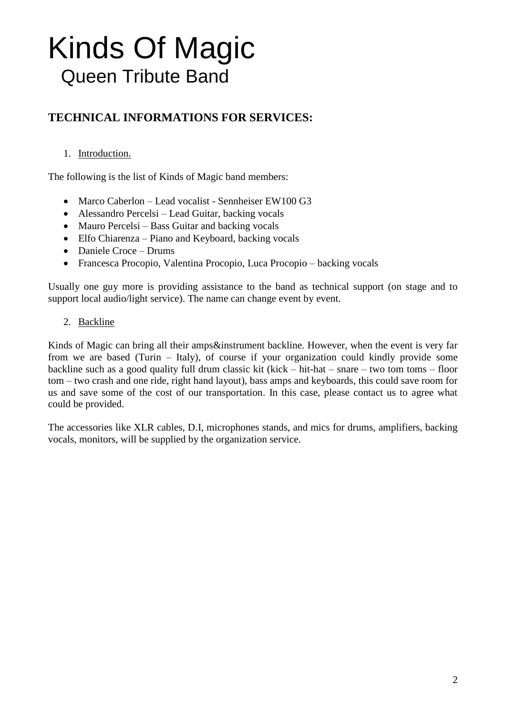# **TECHNICAL INFORMATIONS FOR SERVICES:**

### 1. Introduction.

The following is the list of Kinds of Magic band members:

- Marco Caberlon Lead vocalist Sennheiser EW100 G3
- Alessandro Percelsi Lead Guitar, backing vocals
- Mauro Percelsi Bass Guitar and backing vocals
- Elfo Chiarenza Piano and Keyboard, backing vocals
- Daniele Croce Drums
- Francesca Procopio, Valentina Procopio, Luca Procopio backing vocals

Usually one guy more is providing assistance to the band as technical support (on stage and to support local audio/light service). The name can change event by event.

### 2. Backline

Kinds of Magic can bring all their amps&instrument backline. However, when the event is very far from we are based (Turin – Italy), of course if your organization could kindly provide some backline such as a good quality full drum classic kit (kick – hit-hat – snare – two tom toms – floor tom – two crash and one ride, right hand layout), bass amps and keyboards, this could save room for us and save some of the cost of our transportation. In this case, please contact us to agree what could be provided.

The accessories like XLR cables, D.I, microphones stands, and mics for drums, amplifiers, backing vocals, monitors, will be supplied by the organization service.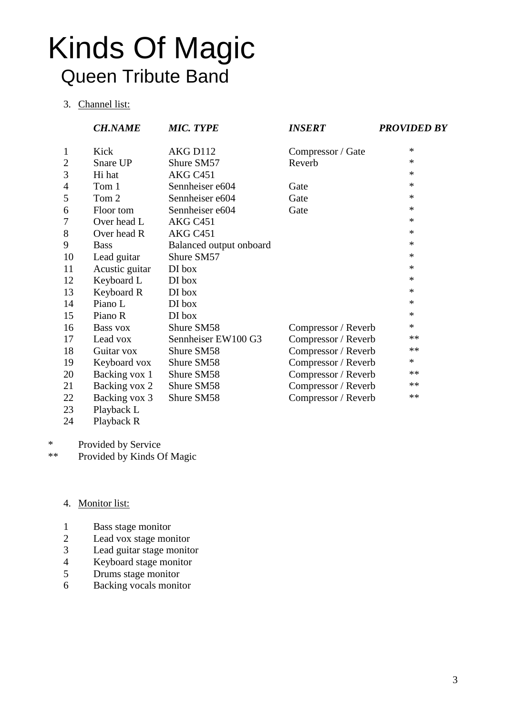#### 3. Channel list:

|                | <b>CH.NAME</b>              | <b>MIC. TYPE</b>        | <b>INSERT</b>       | <b>PROVIDED BY</b> |
|----------------|-----------------------------|-------------------------|---------------------|--------------------|
| $\mathbf{1}$   | Kick                        | AKG D112                | Compressor / Gate   | $\ast$             |
| $\overline{2}$ | Snare UP                    | Shure SM57              | Reverb              | $\ast$             |
| 3              | Hi hat                      | AKG C451                |                     | $\ast$             |
| 4              | Tom 1                       | Sennheiser e604         | Gate                | $\ast$             |
| 5              | Tom 2                       | Sennheiser e604         | Gate                | $\ast$             |
| 6              | Floor tom                   | Sennheiser e604         | Gate                | $\ast$             |
| 7              | Over head L                 | AKG C451                |                     | $\ast$             |
| 8              | Over head R                 | AKG C451                |                     | $\ast$             |
| 9              | <b>Bass</b>                 | Balanced output onboard |                     | $\ast$             |
| 10             | Lead guitar                 | Shure SM57              |                     | $\ast$             |
| 11             | Acustic guitar              | DI box                  |                     | $\ast$             |
| 12             | Keyboard L                  | DI box                  |                     | $\ast$             |
| 13             | Keyboard R                  | DI box                  |                     | $\ast$             |
| 14             | Piano L                     | DI box                  |                     | $\ast$             |
| 15             | Piano R                     | DI box                  |                     | ∗                  |
| 16             | Bass vox                    | Shure SM58              | Compressor / Reverb | *                  |
| 17             | Lead vox                    | Sennheiser EW100 G3     | Compressor / Reverb | $**$               |
| 18             | Guitar vox                  | Shure SM58              | Compressor / Reverb | **                 |
| 19             | Keyboard vox                | Shure SM58              | Compressor / Reverb | $\ast$             |
| 20             | Backing vox 1               | Shure SM58              | Compressor / Reverb | $**$               |
| 21             | Backing vox 2               | Shure SM58              | Compressor / Reverb | **                 |
| 22<br>23       | Backing vox 3<br>Playback L | Shure SM58              | Compressor / Reverb | **                 |

Playback R

\* Provided by Service<br>\*\* Provided by Kinds C

Provided by Kinds Of Magic

#### 4. Monitor list:

- Bass stage monitor
- 2 Lead vox stage monitor<br>3 Lead guitar stage monitor
- Lead guitar stage monitor
- 4 Keyboard stage monitor<br>5 Drums stage monitor
- Drums stage monitor
- Backing vocals monitor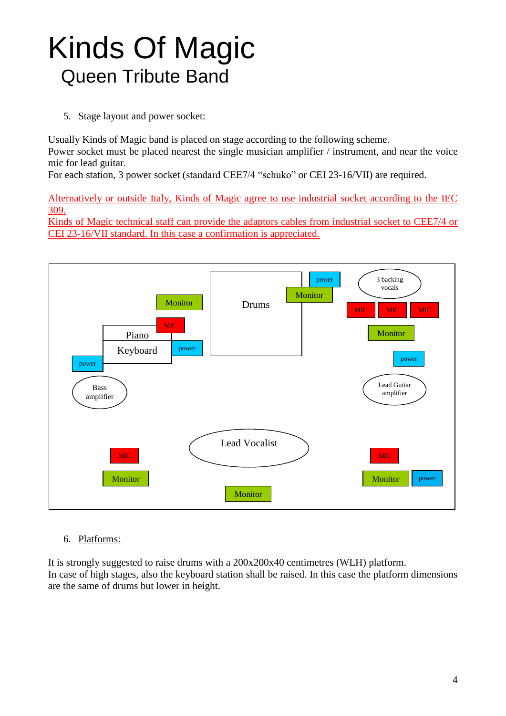5. Stage layout and power socket:

Usually Kinds of Magic band is placed on stage according to the following scheme. Power socket must be placed nearest the single musician amplifier / instrument, and near the voice mic for lead guitar.

For each station, 3 power socket (standard CEE7/4 "schuko" or CEI 23-16/VII) are required.

Alternatively or outside Italy, Kinds of Magic agree to use industrial socket according to the IEC 309.

Kinds of Magic technical staff can provide the adaptors cables from industrial socket to CEE7/4 or CEI 23-16/VII standard. In this case a confirmation is appreciated.



### 6. Platforms:

It is strongly suggested to raise drums with a 200x200x40 centimetres (WLH) platform. In case of high stages, also the keyboard station shall be raised. In this case the platform dimensions are the same of drums but lower in height.